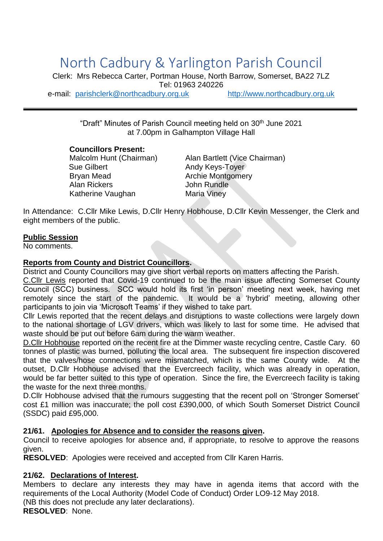# North Cadbury & Yarlington Parish Council

Clerk: Mrs Rebecca Carter, Portman House, North Barrow, Somerset, BA22 7LZ Tel: 01963 240226

e-mail: [parishclerk@northcadbury.org.uk](mailto:parishclerk@northcadbury.org.uk) [http://www.northcadbury.org.uk](http://www.northcadbury.org.uk/)

"Draft" Minutes of Parish Council meeting held on 30<sup>th</sup> June 2021 at 7.00pm in Galhampton Village Hall

#### **Councillors Present:**

Sue Gilbert **Andy Keys-Toyer** Bryan Mead **Archie Montgomery** Alan Rickers **Alan Rundle** Katherine Vaughan Maria Viney

Malcolm Hunt (Chairman) Alan Bartlett (Vice Chairman)

In Attendance: C.Cllr Mike Lewis, D.Cllr Henry Hobhouse, D.Cllr Kevin Messenger, the Clerk and eight members of the public.

### **Public Session**

No comments.

### **Reports from County and District Councillors.**

District and County Councillors may give short verbal reports on matters affecting the Parish.

C.Cllr Lewis reported that Covid-19 continued to be the main issue affecting Somerset County Council (SCC) business. SCC would hold its first 'in person' meeting next week, having met remotely since the start of the pandemic. It would be a 'hybrid' meeting, allowing other participants to join via 'Microsoft Teams' if they wished to take part.

Cllr Lewis reported that the recent delays and disruptions to waste collections were largely down to the national shortage of LGV drivers, which was likely to last for some time. He advised that waste should be put out before 6am during the warm weather.

D.Cllr Hobhouse reported on the recent fire at the Dimmer waste recycling centre, Castle Cary. 60 tonnes of plastic was burned, polluting the local area. The subsequent fire inspection discovered that the valves/hose connections were mismatched, which is the same County wide. At the outset, D.Cllr Hobhouse advised that the Evercreech facility, which was already in operation, would be far better suited to this type of operation. Since the fire, the Evercreech facility is taking the waste for the next three months.

D.Cllr Hobhouse advised that the rumours suggesting that the recent poll on 'Stronger Somerset' cost £1 million was inaccurate; the poll cost £390,000, of which South Somerset District Council (SSDC) paid £95,000.

### **21/61. Apologies for Absence and to consider the reasons given.**

Council to receive apologies for absence and, if appropriate, to resolve to approve the reasons given.

**RESOLVED**: Apologies were received and accepted from Cllr Karen Harris.

# **21/62. Declarations of Interest.**

Members to declare any interests they may have in agenda items that accord with the requirements of the Local Authority (Model Code of Conduct) Order LO9-12 May 2018. (NB this does not preclude any later declarations).

**RESOLVED**: None.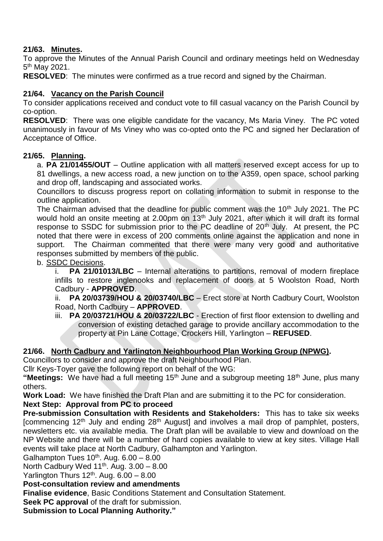# **21/63. Minutes.**

To approve the Minutes of the Annual Parish Council and ordinary meetings held on Wednesday 5<sup>th</sup> May 2021.

**RESOLVED**: The minutes were confirmed as a true record and signed by the Chairman.

# **21/64. Vacancy on the Parish Council**

To consider applications received and conduct vote to fill casual vacancy on the Parish Council by co-option.

**RESOLVED**: There was one eligible candidate for the vacancy, Ms Maria Viney. The PC voted unanimously in favour of Ms Viney who was co-opted onto the PC and signed her Declaration of Acceptance of Office.

## **21/65. Planning.**

a. **PA 21/01455/OUT** – Outline application with all matters reserved except access for up to 81 dwellings, a new access road, a new junction on to the A359, open space, school parking and drop off, landscaping and associated works.

Councillors to discuss progress report on collating information to submit in response to the outline application.

The Chairman advised that the deadline for public comment was the 10<sup>th</sup> July 2021. The PC would hold an onsite meeting at 2.00pm on 13<sup>th</sup> July 2021, after which it will draft its formal response to SSDC for submission prior to the PC deadline of  $20<sup>th</sup>$  July. At present, the PC noted that there were in excess of 200 comments online against the application and none in support. The Chairman commented that there were many very good and authoritative responses submitted by members of the public.

## b. SSDC Decisions.

i. **PA 21/01013/LBC** – Internal alterations to partitions, removal of modern fireplace infills to restore inglenooks and replacement of doors at 5 Woolston Road, North Cadbury - **APPROVED**.

ii. **PA 20/03739/HOU & 20/03740/LBC** – Erect store at North Cadbury Court, Woolston Road, North Cadbury – **APPROVED**.

iii. **PA 20/03721/HOU & 20/03722/LBC** - Erection of first floor extension to dwelling and conversion of existing detached garage to provide ancillary accommodation to the property at Pin Lane Cottage, Crockers Hill, Yarlington – **REFUSED**.

# **21/66. North Cadbury and Yarlington Neighbourhood Plan Working Group (NPWG).**

Councillors to consider and approve the draft Neighbourhood Plan.

Cllr Keys-Toyer gave the following report on behalf of the WG:

"Meetings: We have had a full meeting 15<sup>th</sup> June and a subgroup meeting 18<sup>th</sup> June, plus many others.

**Work Load:** We have finished the Draft Plan and are submitting it to the PC for consideration.

# **Next Step: Approval from PC to proceed**

**Pre-submission Consultation with Residents and Stakeholders:** This has to take six weeks [commencing 12<sup>th</sup> July and ending 28<sup>th</sup> August] and involves a mail drop of pamphlet, posters, newsletters etc. via available media. The Draft plan will be available to view and download on the NP Website and there will be a number of hard copies available to view at key sites. Village Hall events will take place at North Cadbury, Galhampton and Yarlington.

Galhampton Tues  $10^{th}$ . Aug.  $6.00 - 8.00$ 

North Cadbury Wed  $11^{th}$ . Aug.  $3.00 - 8.00$ 

Yarlington Thurs  $12<sup>th</sup>$ . Aug.  $6.00 - 8.00$ 

# **Post-consultation review and amendments**

**Finalise evidence**, Basic Conditions Statement and Consultation Statement.

**Seek PC approval** of the draft for submission.

**Submission to Local Planning Authority."**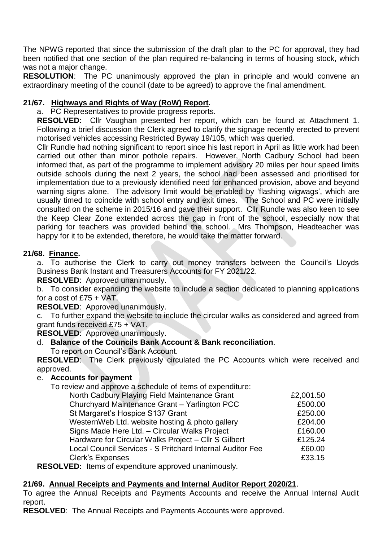The NPWG reported that since the submission of the draft plan to the PC for approval, they had been notified that one section of the plan required re-balancing in terms of housing stock, which was not a major change.

**RESOLUTION**: The PC unanimously approved the plan in principle and would convene an extraordinary meeting of the council (date to be agreed) to approve the final amendment.

# **21/67. Highways and Rights of Way (RoW) Report.**

a. PC Representatives to provide progress reports.

**RESOLVED**: Cllr Vaughan presented her report, which can be found at Attachment 1. Following a brief discussion the Clerk agreed to clarify the signage recently erected to prevent motorised vehicles accessing Restricted Byway 19/105, which was queried.

Cllr Rundle had nothing significant to report since his last report in April as little work had been carried out other than minor pothole repairs. However, North Cadbury School had been informed that, as part of the programme to implement advisory 20 miles per hour speed limits outside schools during the next 2 years, the school had been assessed and prioritised for implementation due to a previously identified need for enhanced provision, above and beyond warning signs alone. The advisory limit would be enabled by 'flashing wigwags', which are usually timed to coincide with school entry and exit times. The School and PC were initially consulted on the scheme in 2015/16 and gave their support. Cllr Rundle was also keen to see the Keep Clear Zone extended across the gap in front of the school, especially now that parking for teachers was provided behind the school. Mrs Thompson, Headteacher was happy for it to be extended, therefore, he would take the matter forward.

# **21/68. Finance.**

a. To authorise the Clerk to carry out money transfers between the Council's Lloyds Business Bank Instant and Treasurers Accounts for FY 2021/22.

**RESOLVED**: Approved unanimously.

b. To consider expanding the website to include a section dedicated to planning applications for a cost of  $£75 + VAT$ .

**RESOLVED**: Approved unanimously.

c. To further expand the website to include the circular walks as considered and agreed from grant funds received £75 + VAT.

**RESOLVED**: Approved unanimously.

# d. **Balance of the Councils Bank Account & Bank reconciliation**.

To report on Council's Bank Account.

**RESOLVED**: The Clerk previously circulated the PC Accounts which were received and approved.

# e. **Accounts for payment**

To review and approve a schedule of items of expenditure:

| North Cadbury Playing Field Maintenance Grant             | £2,001.50 |
|-----------------------------------------------------------|-----------|
| Churchyard Maintenance Grant - Yarlington PCC             | £500.00   |
| St Margaret's Hospice S137 Grant                          | £250.00   |
| WesternWeb Ltd. website hosting & photo gallery           | £204.00   |
| Signs Made Here Ltd. - Circular Walks Project             | £160.00   |
| Hardware for Circular Walks Project - Cllr S Gilbert      | £125.24   |
| Local Council Services - S Pritchard Internal Auditor Fee | £60.00    |
| <b>Clerk's Expenses</b>                                   | £33.15    |
|                                                           |           |

**RESOLVED:** Items of expenditure approved unanimously.

### **21/69. Annual Receipts and Payments and Internal Auditor Report 2020/21**.

To agree the Annual Receipts and Payments Accounts and receive the Annual Internal Audit report.

**RESOLVED**: The Annual Receipts and Payments Accounts were approved.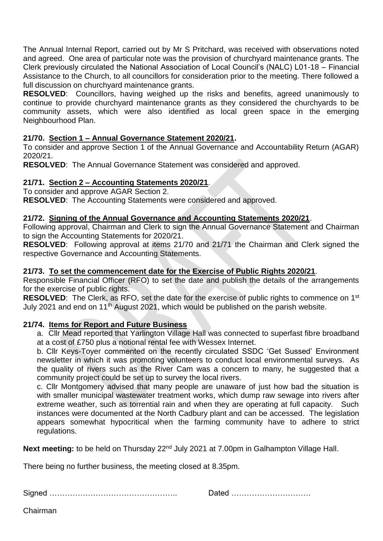The Annual Internal Report, carried out by Mr S Pritchard, was received with observations noted and agreed. One area of particular note was the provision of churchyard maintenance grants. The Clerk previously circulated the National Association of Local Council's (NALC) L01-18 – Financial Assistance to the Church, to all councillors for consideration prior to the meeting. There followed a full discussion on churchyard maintenance grants.

**RESOLVED**: Councillors, having weighed up the risks and benefits, agreed unanimously to continue to provide churchyard maintenance grants as they considered the churchyards to be community assets, which were also identified as local green space in the emerging Neighbourhood Plan.

## **21/70. Section 1 – Annual Governance Statement 2020/21.**

To consider and approve Section 1 of the Annual Governance and Accountability Return (AGAR) 2020/21.

**RESOLVED**: The Annual Governance Statement was considered and approved.

### **21/71. Section 2 – Accounting Statements 2020/21**.

To consider and approve AGAR Section 2. **RESOLVED**: The Accounting Statements were considered and approved.

#### **21/72. Signing of the Annual Governance and Accounting Statements 2020/21**.

Following approval, Chairman and Clerk to sign the Annual Governance Statement and Chairman to sign the Accounting Statements for 2020/21.

**RESOLVED**: Following approval at items 21/70 and 21/71 the Chairman and Clerk signed the respective Governance and Accounting Statements.

#### **21/73. To set the commencement date for the Exercise of Public Rights 2020/21**.

Responsible Financial Officer (RFO) to set the date and publish the details of the arrangements for the exercise of public rights.

**RESOLVED:** The Clerk, as RFO, set the date for the exercise of public rights to commence on 1<sup>st</sup> July 2021 and end on 11th August 2021, which would be published on the parish website.

### **21/74. Items for Report and Future Business**

a. Cllr Mead reported that Yarlington Village Hall was connected to superfast fibre broadband at a cost of £750 plus a notional rental fee with Wessex Internet.

b. Cllr Keys-Toyer commented on the recently circulated SSDC 'Get Sussed' Environment newsletter in which it was promoting volunteers to conduct local environmental surveys. As the quality of rivers such as the River Cam was a concern to many, he suggested that a community project could be set up to survey the local rivers.

c. Cllr Montgomery advised that many people are unaware of just how bad the situation is with smaller municipal wastewater treatment works, which dump raw sewage into rivers after extreme weather, such as torrential rain and when they are operating at full capacity. Such instances were documented at the North Cadbury plant and can be accessed. The legislation appears somewhat hypocritical when the farming community have to adhere to strict regulations.

Next meeting: to be held on Thursday 22<sup>nd</sup> July 2021 at 7.00pm in Galhampton Village Hall.

There being no further business, the meeting closed at 8.35pm.

Signed ………………………………………….. Dated ………………………….

Chairman